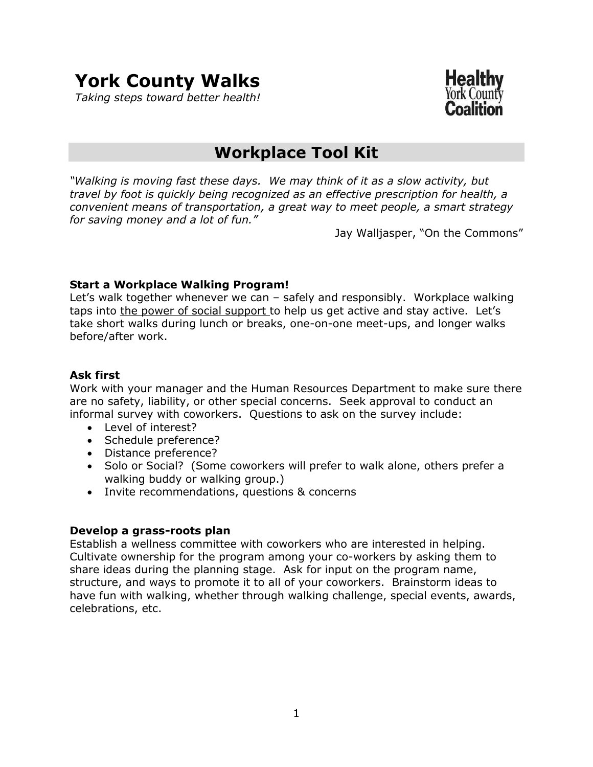# **York County Walks**

*Taking steps toward better health!*



# **Workplace Tool Kit**

*"Walking is moving fast these days. We may think of it as a slow activity, but travel by foot is quickly being recognized as an effective prescription for health, a convenient means of transportation, a great way to meet people, a smart strategy for saving money and a lot of fun."*

Jay Walljasper, "On the Commons"

#### **Start a Workplace Walking Program!**

Let's walk together whenever we can – safely and responsibly. Workplace walking taps into the power of social support to help us get active and stay active. Let's take short walks during lunch or breaks, one-on-one meet-ups, and longer walks before/after work.

#### **Ask first**

Work with your manager and the Human Resources Department to make sure there are no safety, liability, or other special concerns. Seek approval to conduct an informal survey with coworkers. Questions to ask on the survey include:

- Level of interest?
- Schedule preference?
- Distance preference?
- Solo or Social? (Some coworkers will prefer to walk alone, others prefer a walking buddy or walking group.)
- Invite recommendations, questions & concerns

#### **Develop a grass-roots plan**

Establish a wellness committee with coworkers who are interested in helping. Cultivate ownership for the program among your co-workers by asking them to share ideas during the planning stage. Ask for input on the program name, structure, and ways to promote it to all of your coworkers. Brainstorm ideas to have fun with walking, whether through walking challenge, special events, awards, celebrations, etc.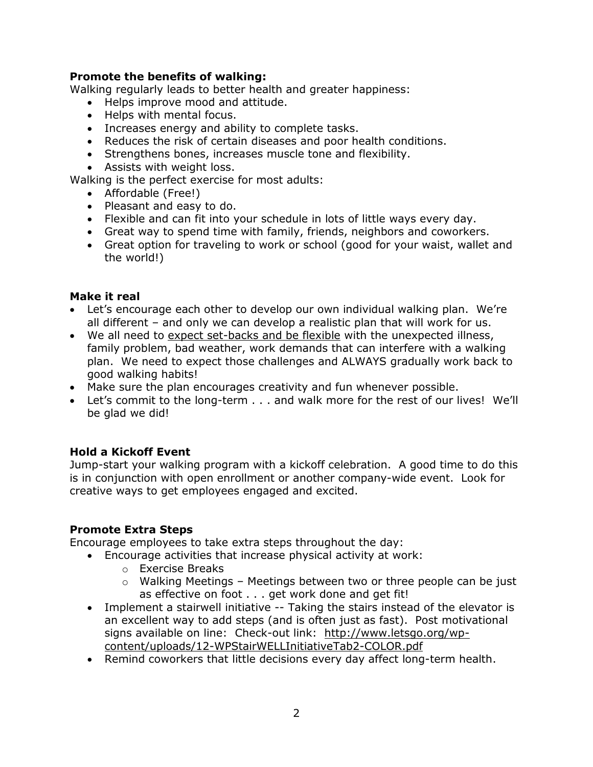# **Promote the benefits of walking:**

Walking regularly leads to better health and greater happiness:

- Helps improve mood and attitude.
- Helps with mental focus.
- Increases energy and ability to complete tasks.
- Reduces the risk of certain diseases and poor health conditions.
- Strengthens bones, increases muscle tone and flexibility.
- Assists with weight loss.

Walking is the perfect exercise for most adults:

- Affordable (Free!)
- Pleasant and easy to do.
- Flexible and can fit into your schedule in lots of little ways every day.
- Great way to spend time with family, friends, neighbors and coworkers.
- Great option for traveling to work or school (good for your waist, wallet and the world!)

#### **Make it real**

- Let's encourage each other to develop our own individual walking plan. We're all different – and only we can develop a realistic plan that will work for us.
- We all need to expect set-backs and be flexible with the unexpected illness, family problem, bad weather, work demands that can interfere with a walking plan. We need to expect those challenges and ALWAYS gradually work back to good walking habits!
- Make sure the plan encourages creativity and fun whenever possible.
- Let's commit to the long-term . . . and walk more for the rest of our lives! We'll be glad we did!

# **Hold a Kickoff Event**

Jump-start your walking program with a kickoff celebration. A good time to do this is in conjunction with open enrollment or another company-wide event. Look for creative ways to get employees engaged and excited.

#### **Promote Extra Steps**

Encourage employees to take extra steps throughout the day:

- Encourage activities that increase physical activity at work:
	- o Exercise Breaks
	- $\circ$  Walking Meetings Meetings between two or three people can be just as effective on foot . . . get work done and get fit!
- Implement a stairwell initiative -- Taking the stairs instead of the elevator is an excellent way to add steps (and is often just as fast). Post motivational signs available on line: Check-out link: [http://www.letsgo.org/wp](http://www.letsgo.org/wp-content/uploads/12-WPStairWELLInitiativeTab2-COLOR.pdf)[content/uploads/12-WPStairWELLInitiativeTab2-COLOR.pdf](http://www.letsgo.org/wp-content/uploads/12-WPStairWELLInitiativeTab2-COLOR.pdf)
- Remind coworkers that little decisions every day affect long-term health.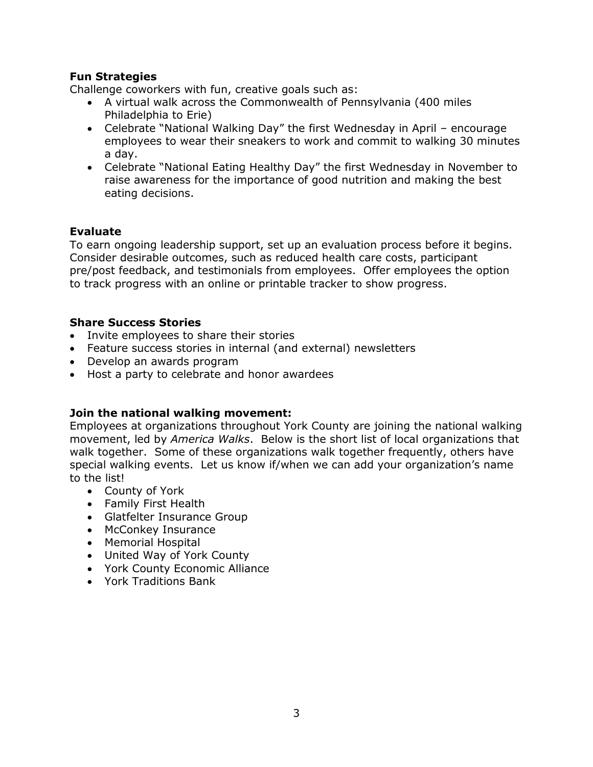# **Fun Strategies**

Challenge coworkers with fun, creative goals such as:

- A virtual walk across the Commonwealth of Pennsylvania (400 miles Philadelphia to Erie)
- Celebrate "National Walking Day" the first Wednesday in April encourage employees to wear their sneakers to work and commit to walking 30 minutes a day.
- Celebrate "National Eating Healthy Day" the first Wednesday in November to raise awareness for the importance of good nutrition and making the best eating decisions.

# **Evaluate**

To earn ongoing leadership support, set up an evaluation process before it begins. Consider desirable outcomes, such as reduced health care costs, participant pre/post feedback, and testimonials from employees. Offer employees the option to track progress with an online or printable tracker to show progress.

# **Share Success Stories**

- Invite employees to share their stories
- Feature success stories in internal (and external) newsletters
- Develop an awards program
- Host a party to celebrate and honor awardees

# **Join the national walking movement:**

Employees at organizations throughout York County are joining the national walking movement, led by *America Walks*. Below is the short list of local organizations that walk together. Some of these organizations walk together frequently, others have special walking events. Let us know if/when we can add your organization's name to the list!

- County of York
- Family First Health
- Glatfelter Insurance Group
- McConkey Insurance
- Memorial Hospital
- United Way of York County
- York County Economic Alliance
- York Traditions Bank